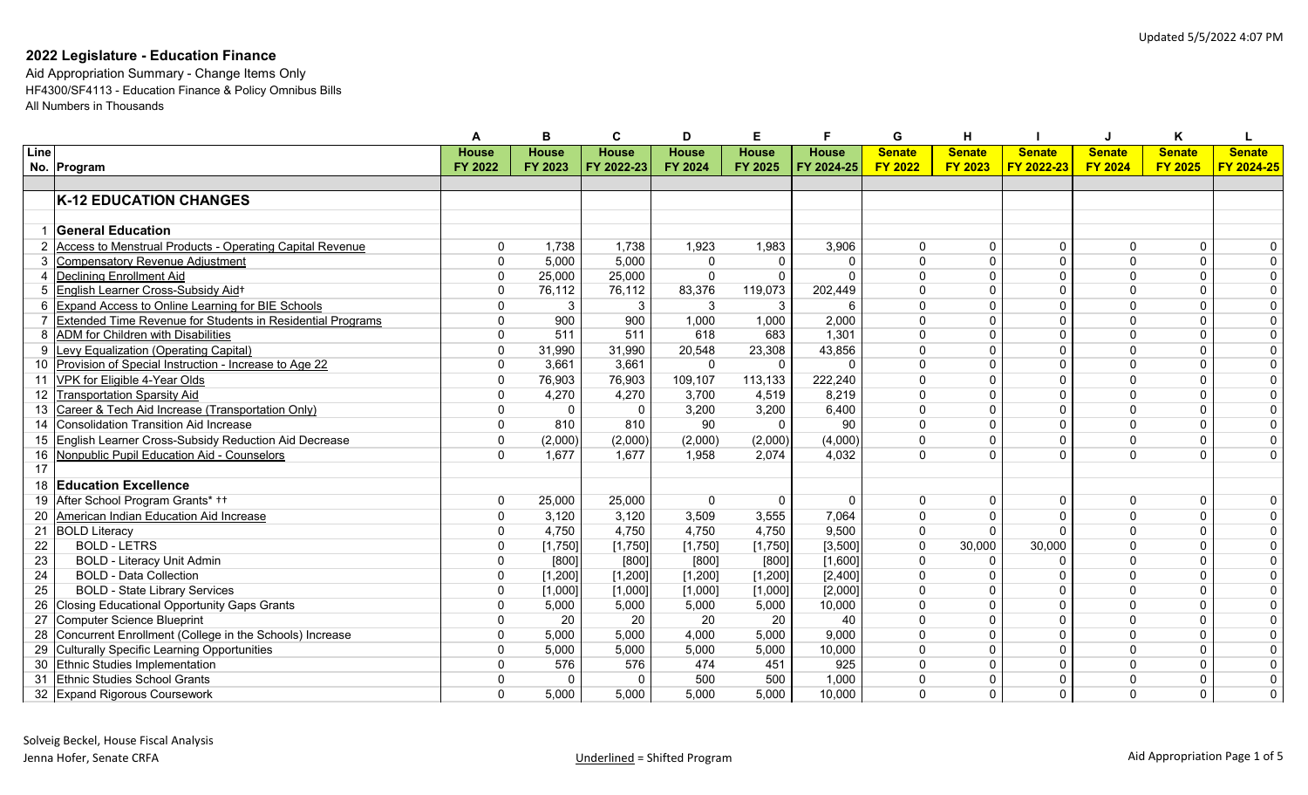|      |                                                              |              | В            |              | n            | Е            |              | G              | н              |               |                |                |                         |
|------|--------------------------------------------------------------|--------------|--------------|--------------|--------------|--------------|--------------|----------------|----------------|---------------|----------------|----------------|-------------------------|
| Line |                                                              | <b>House</b> | <b>House</b> | <b>House</b> | <b>House</b> | <b>House</b> | <b>House</b> | <b>Senate</b>  | <b>Senate</b>  | <b>Senate</b> | <b>Senate</b>  | <b>Senate</b>  | <b>Senate</b>           |
|      | No. Program                                                  | FY 2022      | FY 2023      | FY 2022-23   | FY 2024      | FY 2025      | FY 2024-25   | <b>FY 2022</b> | <b>FY 2023</b> | FY 2022-23    | <b>FY 2024</b> | <b>FY 2025</b> | FY 2024-25              |
|      |                                                              |              |              |              |              |              |              |                |                |               |                |                |                         |
|      | <b>K-12 EDUCATION CHANGES</b>                                |              |              |              |              |              |              |                |                |               |                |                |                         |
|      |                                                              |              |              |              |              |              |              |                |                |               |                |                |                         |
|      | 1 General Education                                          |              |              |              |              |              |              |                |                |               |                |                |                         |
|      | 2 Access to Menstrual Products - Operating Capital Revenue   | $\mathbf{0}$ | 1,738        | 1,738        | 1,923        | 1,983        | 3,906        | $\mathbf{0}$   | 0              | $\Omega$      | $\Omega$       | 0              | 0                       |
|      | 3 Compensatory Revenue Adjustment                            | $\mathbf{0}$ | 5,000        | 5,000        | $\Omega$     | $\Omega$     | $\Omega$     | $\Omega$       |                |               | $\Omega$       | 0              | $\overline{0}$          |
|      | 4 Declining Enrollment Aid                                   | $\Omega$     | 25,000       | 25,000       | $\Omega$     | $\Omega$     | $\Omega$     | $\Omega$       |                |               | $\Omega$       | $\Omega$       | $\overline{0}$          |
|      | 5 English Learner Cross-Subsidy Aid+                         | $\Omega$     | 76,112       | 76,112       | 83,376       | 119,073      | 202,449      | $\Omega$       |                |               | $\Omega$       | $\Omega$       | $\overline{0}$          |
|      | 6 Expand Access to Online Learning for BIE Schools           | $\Omega$     | 3            | 3            | 3            | 3            | 6            | $\Omega$       |                |               | $\Omega$       | $\Omega$       | $\overline{0}$          |
|      | 7 Extended Time Revenue for Students in Residential Programs | $\Omega$     | 900          | 900          | 1,000        | 1,000        | 2,000        | $\Omega$       |                |               | $\Omega$       | $\Omega$       | $\overline{0}$          |
|      | 8 ADM for Children with Disabilities                         | $\Omega$     | 511          | 511          | 618          | 683          | 1,301        | $\Omega$       |                |               | $\Omega$       | $\Omega$       | 0                       |
|      | 9 Levy Equalization (Operating Capital)                      | $\mathbf{0}$ | 31,990       | 31,990       | 20,548       | 23,308       | 43,856       | $\Omega$       |                |               | $\Omega$       | $\Omega$       | $\overline{0}$          |
|      | 10 Provision of Special Instruction - Increase to Age 22     | $\mathbf{0}$ | 3,661        | 3,661        | $\Omega$     | $\Omega$     | $\Omega$     | $\Omega$       |                |               | $\Omega$       | $\Omega$       | $\overline{0}$          |
| 11   | VPK for Eligible 4-Year Olds                                 | $\mathbf{0}$ | 76,903       | 76,903       | 109,107      | 113,133      | 222,240      | $\Omega$       |                | $\Omega$      | $\Omega$       | $\Omega$       | $\overline{0}$          |
| 12   | <b>Transportation Sparsity Aid</b>                           | $\mathbf{0}$ | 4,270        | 4,270        | 3,700        | 4,519        | 8,219        | $\Omega$       | $\Omega$       | $\Omega$      | $\Omega$       | $\Omega$       | $\overline{0}$          |
|      | 13 Career & Tech Aid Increase (Transportation Only)          | $\Omega$     | $\Omega$     | $\mathbf 0$  | 3,200        | 3,200        | 6,400        | $\Omega$       | $\Omega$       | $\Omega$      | $\Omega$       | $\Omega$       | $\overline{0}$          |
| 14   | Consolidation Transition Aid Increase                        | $\mathbf 0$  | 810          | 810          | 90           | $\Omega$     | 90           | $\Omega$       |                |               | $\Omega$       | $\Omega$       | $\overline{0}$          |
|      | 15 English Learner Cross-Subsidy Reduction Aid Decrease      | $\mathbf{0}$ | (2,000)      | (2,000)      | (2,000)      | (2,000)      | (4,000)      | $\Omega$       |                | $\Omega$      | $\Omega$       | $\Omega$       | $\overline{0}$          |
|      | 16 Nonpublic Pupil Education Aid - Counselors                | $\Omega$     | 1,677        | 1,677        | 1,958        | 2,074        | 4,032        | $\Omega$       |                |               | $\Omega$       | $\overline{0}$ | 0                       |
| 17   |                                                              |              |              |              |              |              |              |                |                |               |                |                |                         |
|      | 18 Education Excellence                                      |              |              |              |              |              |              |                |                |               |                |                |                         |
|      | 19 After School Program Grants* ++                           | $\mathbf 0$  | 25,000       | 25,000       | $\Omega$     | $\Omega$     | $\Omega$     | $\mathbf{0}$   | $\Omega$       | $\Omega$      | $\Omega$       | 0              | $\overline{0}$          |
|      | 20 American Indian Education Aid Increase                    | $\mathbf{0}$ | 3,120        | 3,120        | 3,509        | 3,555        | 7,064        | $\Omega$       |                |               | $\Omega$       | $\Omega$       | $\overline{0}$          |
| 21   | <b>BOLD Literacy</b>                                         | $\Omega$     | 4,750        | 4,750        | 4,750        | 4,750        | 9,500        | $\Omega$       |                |               | $\Omega$       | $\Omega$       | $\overline{0}$          |
| 22   | <b>BOLD - LETRS</b>                                          | $\Omega$     | [1,750]      | [1,750]      | [1,750]      | [1,750]      | [3,500]      | $\Omega$       | 30,000         | 30,000        | $\Omega$       | $\Omega$       | $\overline{0}$          |
| 23   | <b>BOLD - Literacy Unit Admin</b>                            | $\Omega$     | [800]        | [800]        | [800]        | [800]        | [1,600]      | $\Omega$       | $\Omega$       |               | $\Omega$       | 0              | $\boldsymbol{0}$        |
| 24   | <b>BOLD - Data Collection</b>                                | $\Omega$     | [1, 200]     | [1,200]      | [1, 200]     | [1, 200]     | [2,400]      | $\Omega$       |                |               | $\Omega$       | $\overline{0}$ | $\overline{\mathbf{0}}$ |
| 25   | <b>BOLD - State Library Services</b>                         | $\mathbf{0}$ | [1,000]      | [1,000]      | [1,000]      | [1,000]      | [2,000]      | $\Omega$       |                |               | $\Omega$       | $\Omega$       | $\overline{0}$          |
|      | 26 Closing Educational Opportunity Gaps Grants               | 0            | 5,000        | 5,000        | 5,000        | 5,000        | 10,000       | $\Omega$       |                |               | $\Omega$       | $\Omega$       | $\overline{0}$          |
| 27   | Computer Science Blueprint                                   | 0            | 20           | 20           | 20           | 20           | 40           | $\Omega$       |                |               | $\mathbf{0}$   | 0              | $\overline{0}$          |
|      | 28 Concurrent Enrollment (College in the Schools) Increase   | 0            | 5,000        | 5,000        | 4,000        | 5,000        | 9,000        | $\Omega$       |                |               | $\mathbf{0}$   | 0              | $\overline{0}$          |
|      | 29 Culturally Specific Learning Opportunities                | 0            | 5,000        | 5,000        | 5,000        | 5,000        | 10,000       | $\mathbf{0}$   | $\Omega$       | $\Omega$      | $\Omega$       | 0              | $\overline{0}$          |
|      | 30 Ethnic Studies Implementation                             | $\Omega$     | 576          | 576          | 474          | 451          | 925          | $\Omega$       |                |               | $\Omega$       | $\Omega$       | $\overline{0}$          |
|      | 31 Ethnic Studies School Grants                              | $\Omega$     | $\Omega$     | $\Omega$     | 500          | 500          | 1,000        | $\mathbf{0}$   |                |               | $\Omega$       | 0              | $\overline{0}$          |
|      | 32 Expand Rigorous Coursework                                | $\Omega$     | 5,000        | 5,000        | 5,000        | 5,000        | 10,000       | $\Omega$       | 0              | $\Omega$      | $\Omega$       | 0              | $\overline{0}$          |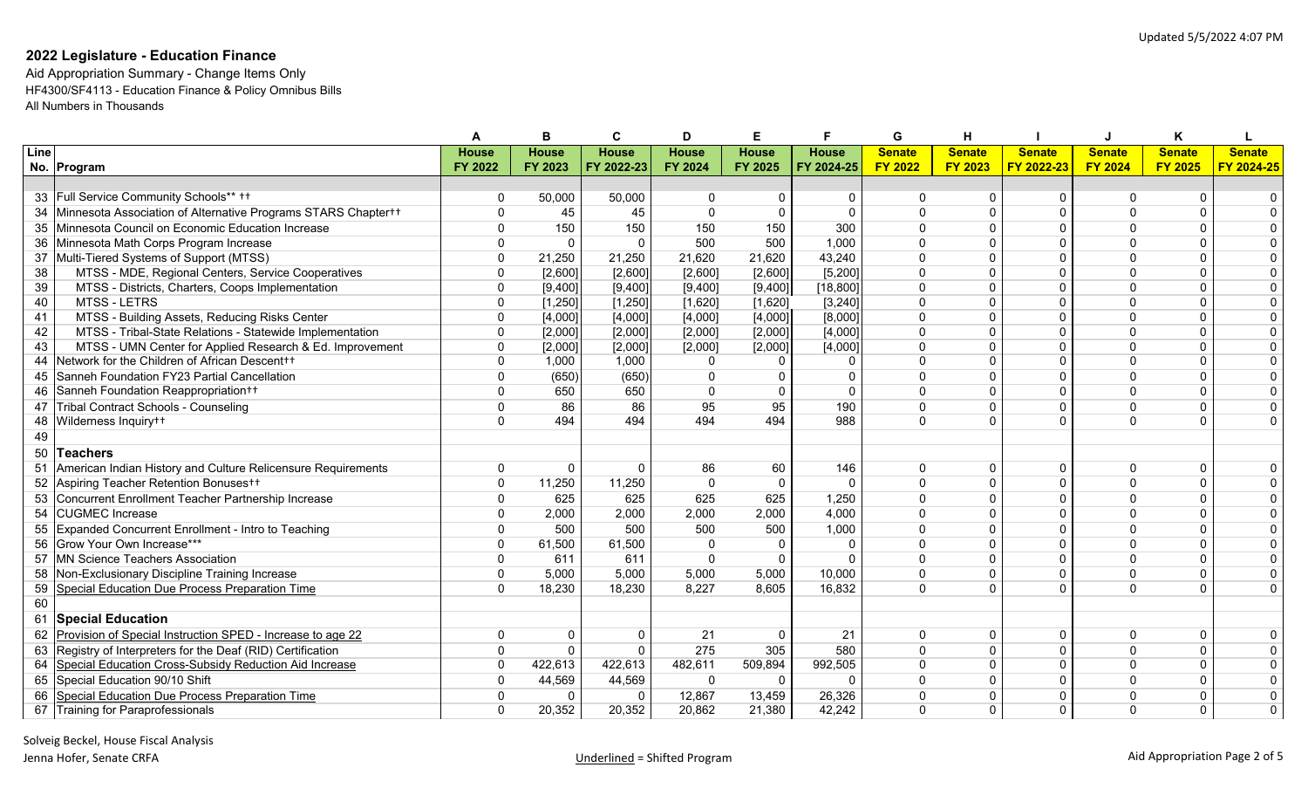|      |                                                               |              |              |                |              |              |              | G              |                |               |                |                |                |
|------|---------------------------------------------------------------|--------------|--------------|----------------|--------------|--------------|--------------|----------------|----------------|---------------|----------------|----------------|----------------|
| Line |                                                               | <b>House</b> | <b>House</b> | <b>House</b>   | <b>House</b> | <b>House</b> | <b>House</b> | <b>Senate</b>  | <b>Senate</b>  | <b>Senate</b> | <b>Senate</b>  | <b>Senate</b>  | <b>Senate</b>  |
|      | No. Program                                                   | FY 2022      | FY 2023      | FY 2022-23     | FY 2024      | FY 2025      | FY 2024-25   | <b>FY 2022</b> | <b>FY 2023</b> | FY 2022-23    | <b>FY 2024</b> | <b>FY 2025</b> | FY 2024-25     |
|      |                                                               |              |              |                |              |              |              |                |                |               |                |                |                |
|      | 33 Full Service Community Schools** ++                        | O            | 50,000       | 50,000         | $\Omega$     | $\Omega$     | $\mathbf{0}$ | $\Omega$       | $\Omega$       | $\Omega$      | $\Omega$       |                |                |
| 34   | Minnesota Association of Alternative Programs STARS Chaptert+ | $\Omega$     | 45           | 45             | $\mathbf{0}$ | $\Omega$     | $\Omega$     | $\Omega$       | $\Omega$       | $\Omega$      | $\Omega$       |                |                |
| 35   | Minnesota Council on Economic Education Increase              | $\mathbf{0}$ | 150          | 150            | 150          | 150          | 300          | $\mathbf{0}$   |                | $\mathbf{0}$  | $\Omega$       |                |                |
| 36   | Minnesota Math Corps Program Increase                         | 0            | $\Omega$     | $\Omega$       | 500          | 500          | 1,000        | $\Omega$       |                | $\mathbf{0}$  | $\Omega$       |                |                |
| 37   | Multi-Tiered Systems of Support (MTSS)                        | 0            | 21,250       | 21,250         | 21,620       | 21,620       | 43,240       | $\mathbf{0}$   | $\Omega$       | $\mathbf{0}$  | $\Omega$       | $\Omega$       | $\Omega$       |
| 38   | MTSS - MDE, Regional Centers, Service Cooperatives            | $\Omega$     | [2,600]      | [2,600]        | [2,600]      | [2,600]      | [5, 200]     | $\Omega$       |                | $\Omega$      | $\Omega$       | $\Omega$       | $\mathbf{0}$   |
| 39   | MTSS - Districts, Charters, Coops Implementation              | $\Omega$     | [9,400]      | [9,400]        | [9,400]      | [9,400]      | [18, 800]    | $\Omega$       |                | $\Omega$      | $\Omega$       | $\Omega$       | $\mathbf{0}$   |
| 40   | <b>MTSS - LETRS</b>                                           | $\Omega$     | [1,250]      | [1,250]        | [1,620]      | [1,620]      | [3, 240]     | $\Omega$       |                | $\Omega$      | $\Omega$       | $\Omega$       | $\overline{0}$ |
| 41   | MTSS - Building Assets, Reducing Risks Center                 | $\Omega$     | [4,000]      | [4,000]        | [4,000]      | [4,000]      | [8,000]      | $\Omega$       | $\Omega$       | $\Omega$      | $\Omega$       | $\Omega$       | $\pmb{0}$      |
| 42   | MTSS - Tribal-State Relations - Statewide Implementation      | $\Omega$     | [2,000]      | [2,000]        | [2,000]      | [2,000]      | [4,000]      | $\Omega$       | $\Omega$       | $\Omega$      |                | $\Omega$       | $\mathbf 0$    |
| 43   | MTSS - UMN Center for Applied Research & Ed. Improvement      | $\Omega$     | [2,000]      | [2,000]        | [2,000]      | [2,000]      | [4,000]      | $\Omega$       | $\Omega$       | $\Omega$      |                |                | $\mathbf 0$    |
| 44   | Network for the Children of African Descent++                 | $\Omega$     | 1,000        | 1,000          | $\Omega$     | $\Omega$     | $\Omega$     | $\Omega$       |                | $\mathbf{0}$  | $\Omega$       |                | $\Omega$       |
| 45   | Sanneh Foundation FY23 Partial Cancellation                   | $\mathbf{0}$ | (650)        | (650)          | $\mathbf{0}$ | $\Omega$     | $\Omega$     | $\Omega$       |                | $\Omega$      | $\Omega$       |                | $\mathbf{0}$   |
| 46   | Sanneh Foundation Reappropriation++                           | $\mathbf{0}$ | 650          | 650            | $\mathbf{0}$ | $\mathbf 0$  | $\Omega$     | $\mathbf{0}$   | 0              | $\Omega$      | $\mathbf{0}$   | $\Omega$       | 0              |
| 47   | Tribal Contract Schools - Counseling                          | 0            | 86           | 86             | 95           | 95           | 190          | $\mathbf{0}$   | $\Omega$       | $\Omega$      | $\mathbf{0}$   | $\overline{0}$ | 0              |
| 48   | Wilderness Inquiry++                                          | $\Omega$     | 494          | 494            | 494          | 494          | 988          | $\Omega$       | $\Omega$       | $\Omega$      | $\Omega$       | $\Omega$       | $\Omega$       |
| 49   |                                                               |              |              |                |              |              |              |                |                |               |                |                |                |
|      | 50 Teachers                                                   |              |              |                |              |              |              |                |                |               |                |                |                |
| 51   | American Indian History and Culture Relicensure Requirements  | 0            | $\Omega$     | $\mathbf{0}$   | 86           | 60           | 146          | $\Omega$       | $\Omega$       | $\mathbf{0}$  | $\Omega$       | $\Omega$       |                |
| 52   | Aspiring Teacher Retention Bonuses++                          | $\mathbf{0}$ | 11,250       | 11,250         | $\Omega$     | $\mathbf{0}$ | $\Omega$     | $\Omega$       |                | $\Omega$      | $\Omega$       | $\Omega$       | 0              |
| 53   | Concurrent Enrollment Teacher Partnership Increase            | $\mathbf{0}$ | 625          | 625            | 625          | 625          | 1,250        | $\Omega$       |                | $\mathbf{0}$  | $\Omega$       | $\Omega$       | 0              |
| 54   | <b>CUGMEC</b> Increase                                        | $\Omega$     | 2,000        | 2,000          | 2,000        | 2,000        | 4,000        | $\Omega$       |                | $\Omega$      | $\Omega$       | $\Omega$       | $\overline{0}$ |
| 55   | Expanded Concurrent Enrollment - Intro to Teaching            | $\Omega$     | 500          | 500            | 500          | 500          | 1,000        | $\Omega$       |                | $\Omega$      | $\Omega$       | $\Omega$       | $\overline{0}$ |
| 56   | Grow Your Own Increase***                                     | $\Omega$     | 61,500       | 61,500         | $\Omega$     | $\Omega$     | $\Omega$     | $\Omega$       | $\Omega$       | $\Omega$      | $\Omega$       | $\Omega$       | $\overline{0}$ |
| 57   | <b>MN Science Teachers Association</b>                        | $\mathbf{0}$ | 611          | 611            | $\Omega$     | $\Omega$     | $\Omega$     | $\Omega$       | $\Omega$       | $\Omega$      | $\Omega$       | $\Omega$       | $\overline{0}$ |
|      | Non-Exclusionary Discipline Training Increase                 | 0            | 5,000        | 5,000          | 5,000        | 5,000        | 10,000       | $\mathbf{0}$   | $\Omega$       | $\mathbf{0}$  | $\Omega$       | $\mathbf{0}$   | $\mathbf 0$    |
| 59   | Special Education Due Process Preparation Time                | $\mathbf{0}$ | 18,230       | 18,230         | 8,227        | 8,605        | 16,832       | $\Omega$       | $\Omega$       | $\Omega$      | $\Omega$       | $\Omega$       | $\Omega$       |
| 60   |                                                               |              |              |                |              |              |              |                |                |               |                |                |                |
| 61   | <b>Special Education</b>                                      |              |              |                |              |              |              |                |                |               |                |                |                |
| 62   | Provision of Special Instruction SPED - Increase to age 22    | 0            | $\Omega$     | 0              | 21           | $\mathbf{0}$ | 21           | 0              | $\mathbf{0}$   | 0             | 0              | 0              |                |
| 63   | Registry of Interpreters for the Deaf (RID) Certification     | $\mathbf 0$  | $\Omega$     | $\overline{0}$ | 275          | 305          | 580          | $\mathbf{0}$   |                | 0             | $\mathbf{0}$   | 0              |                |
| 64   | Special Education Cross-Subsidy Reduction Aid Increase        | $\mathbf{0}$ | 422,613      | 422,613        | 482,611      | 509,894      | 992,505      | $\mathbf{0}$   | $\Omega$       | $\mathbf{0}$  | $\Omega$       | $\Omega$       | $\mathbf{0}$   |
| 65   | Special Education 90/10 Shift                                 | O            | 44,569       | 44,569         | $\mathbf 0$  | $\mathbf{0}$ | $\mathbf{0}$ | $\Omega$       |                | $\Omega$      | $\Omega$       | $\Omega$       |                |
|      | Special Education Due Process Preparation Time                | $\Omega$     | $\Omega$     | $\Omega$       | 12,867       | 13,459       | 26,326       | $\Omega$       | $\Omega$       | $\Omega$      | $\Omega$       | $\Omega$       | $\Omega$       |
| 67   | Training for Paraprofessionals                                | $\Omega$     | 20,352       | 20,352         | 20,862       | 21,380       | 42,242       | $\Omega$       | $\Omega$       | $\Omega$      | $\Omega$       | $\Omega$       | $\mathbf{0}$   |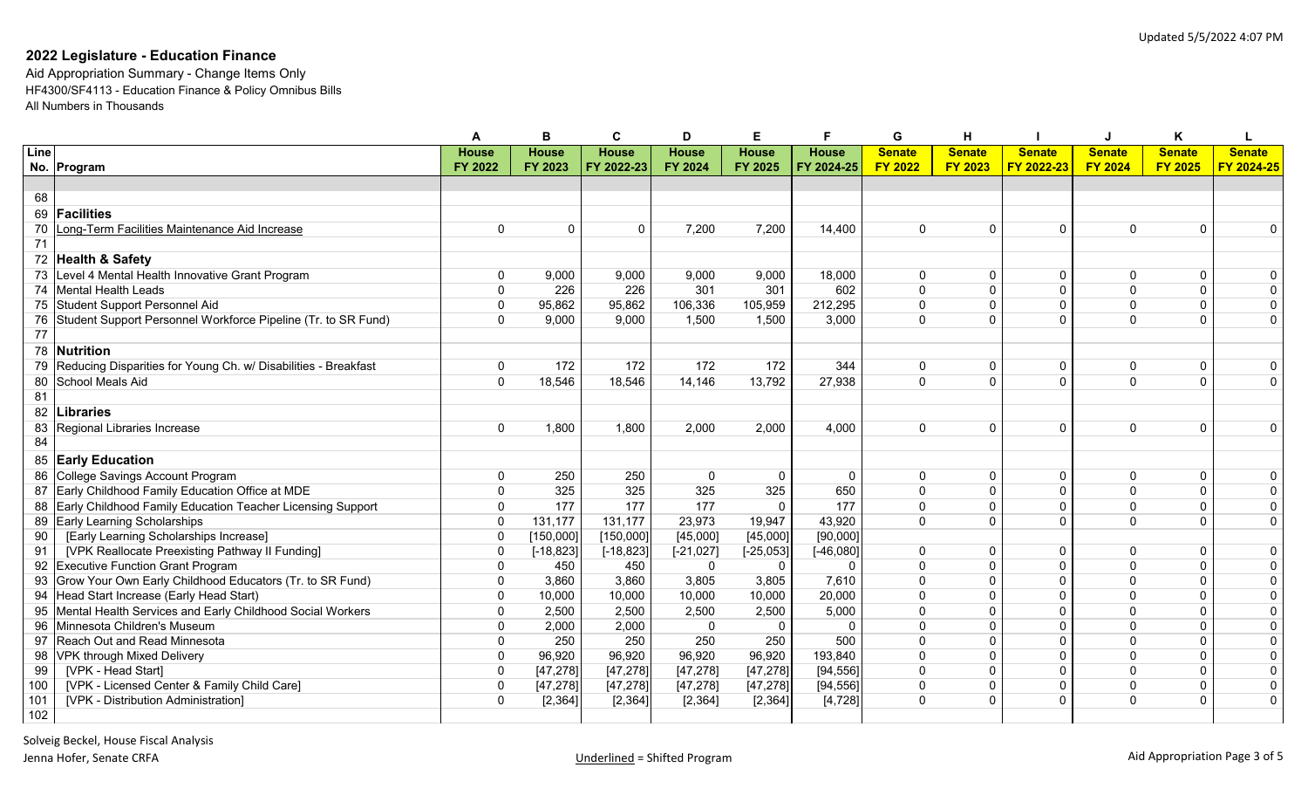|                 |                                                                |                |              | С            | D            | Е            |              | G              | н              |               |                | κ              |                         |
|-----------------|----------------------------------------------------------------|----------------|--------------|--------------|--------------|--------------|--------------|----------------|----------------|---------------|----------------|----------------|-------------------------|
| Line            |                                                                | <b>House</b>   | <b>House</b> | <b>House</b> | <b>House</b> | <b>House</b> | <b>House</b> | <b>Senate</b>  | <b>Senate</b>  | <b>Senate</b> | <b>Senate</b>  | <b>Senate</b>  | <b>Senate</b>           |
|                 | No. Program                                                    | FY 2022        | FY 2023      | FY 2022-23   | FY 2024      | FY 2025      | FY 2024-25   | <b>FY 2022</b> | <b>FY 2023</b> | FY 2022-23    | <b>FY 2024</b> | <b>FY 2025</b> | FY 2024-25              |
|                 |                                                                |                |              |              |              |              |              |                |                |               |                |                |                         |
| 68              |                                                                |                |              |              |              |              |              |                |                |               |                |                |                         |
| 69              | <b>Facilities</b>                                              |                |              |              |              |              |              |                |                |               |                |                |                         |
| 70              | Long-Term Facilities Maintenance Aid Increase                  | 0              | $\mathbf 0$  | $\mathbf 0$  | 7,200        | 7,200        | 14,400       | 0              | $\Omega$       | $\mathbf{0}$  | $\mathbf{0}$   | 0              | $\mathbf{0}$            |
| 71              |                                                                |                |              |              |              |              |              |                |                |               |                |                |                         |
|                 | 72 Health & Safety                                             |                |              |              |              |              |              |                |                |               |                |                |                         |
| 73              | Level 4 Mental Health Innovative Grant Program                 | $\mathbf 0$    | 9,000        | 9,000        | 9,000        | 9,000        | 18,000       | $\Omega$       | $\Omega$       | $\mathbf{0}$  | $\Omega$       | $\Omega$       | $\mathbf 0$             |
|                 | 74 Mental Health Leads                                         | $\mathbf 0$    | 226          | 226          | 301          | 301          | 602          | $\Omega$       | $\Omega$       | $\Omega$      | $\Omega$       | $\overline{0}$ | 0                       |
|                 | 75 Student Support Personnel Aid                               | $\mathbf{0}$   | 95,862       | 95,862       | 106,336      | 105,959      | 212,295      | $\Omega$       |                | $\Omega$      | $\Omega$       | $\mathbf{0}$   | $\overline{0}$          |
| 76              | Student Support Personnel Workforce Pipeline (Tr. to SR Fund)  | $\mathbf 0$    | 9,000        | 9,000        | 1,500        | 1,500        | 3,000        | $\Omega$       |                | $\Omega$      | $\Omega$       | 0              | $\overline{0}$          |
| $\overline{77}$ |                                                                |                |              |              |              |              |              |                |                |               |                |                |                         |
|                 | 78 Nutrition                                                   |                |              |              |              |              |              |                |                |               |                |                |                         |
| 79              | Reducing Disparities for Young Ch. w/ Disabilities - Breakfast | $\mathbf 0$    | 172          | 172          | 172          | 172          | 344          | 0              | $\mathbf{0}$   | $\Omega$      | $\mathbf{0}$   | 0              | $\mathbf 0$             |
| 80              | School Meals Aid                                               | $\mathbf{0}$   | 18,546       | 18,546       | 14,146       | 13,792       | 27,938       | $\Omega$       | $\Omega$       | $\Omega$      | $\Omega$       | $\Omega$       | $\overline{0}$          |
| 81              |                                                                |                |              |              |              |              |              |                |                |               |                |                |                         |
| 82              | <b>Libraries</b>                                               |                |              |              |              |              |              |                |                |               |                |                |                         |
| 83              | Regional Libraries Increase                                    | $\mathbf 0$    | 1,800        | 1,800        | 2,000        | 2,000        | 4,000        | 0              | $\Omega$       | $\mathbf{0}$  | $\mathbf{0}$   | 0              | $\mathbf 0$             |
| 84              |                                                                |                |              |              |              |              |              |                |                |               |                |                |                         |
|                 | 85 Early Education                                             |                |              |              |              |              |              |                |                |               |                |                |                         |
| 86              | College Savings Account Program                                | O              | 250          | 250          | $\Omega$     | $\Omega$     | $\mathbf 0$  | $\Omega$       | $\Omega$       | $\Omega$      | $\Omega$       | 0              | $\mathbf 0$             |
|                 | 87 Early Childhood Family Education Office at MDE              | $\Omega$       | 325          | 325          | 325          | 325          | 650          | $\mathbf 0$    | $\Omega$       | $\Omega$      | $\Omega$       | $\mathbf 0$    | $\mathbf 0$             |
| 88              | Early Childhood Family Education Teacher Licensing Support     | $\mathbf{0}$   | 177          | 177          | 177          | $\Omega$     | 177          | $\Omega$       | $\Omega$       | $\mathbf{0}$  | $\mathbf{0}$   | 0              | $\overline{0}$          |
|                 | 89 Early Learning Scholarships                                 | $\mathbf 0$    | 131,177      | 131,177      | 23,973       | 19,947       | 43,920       | $\mathbf 0$    | $\Omega$       | $\Omega$      | $\Omega$       | $\overline{0}$ | $\overline{0}$          |
| 90              | [Early Learning Scholarships Increase]                         | $\mathbf 0$    | [150,000]    | [150,000]    | [45,000]     | [45,000]     | [90,000]     |                |                |               |                |                |                         |
| 91              | [VPK Reallocate Preexisting Pathway II Funding]                | $\Omega$       | $[-18, 823]$ | $[-18, 823]$ | $[-21, 027]$ | $[-25, 053]$ | $[-46,080]$  | 0              | $\Omega$       | $\Omega$      | $\Omega$       | 0              | $\overline{0}$          |
| 92              | <b>Executive Function Grant Program</b>                        | $\Omega$       | 450          | 450          | $\Omega$     | $\Omega$     | $\Omega$     | $\Omega$       |                | $\Omega$      | $\Omega$       | $\overline{0}$ | $\overline{0}$          |
| 93              | Grow Your Own Early Childhood Educators (Tr. to SR Fund)       | 0              | 3,860        | 3,860        | 3,805        | 3,805        | 7,610        | $\Omega$       |                | $\Omega$      | $\Omega$       | $\overline{0}$ | $\overline{0}$          |
| 94              | Head Start Increase (Early Head Start)                         | $\mathbf{0}$   | 10,000       | 10,000       | 10,000       | 10,000       | 20,000       | $\Omega$       | $\Omega$       | $\Omega$      | $\Omega$       | $\mathbf{0}$   | $\overline{0}$          |
| 95              | Mental Health Services and Early Childhood Social Workers      | $\Omega$       | 2,500        | 2,500        | 2,500        | 2,500        | 5,000        | $\Omega$       | $\Omega$       | $\Omega$      | $\Omega$       | 0              | $\overline{\mathbf{0}}$ |
| 96              | Minnesota Children's Museum                                    | $\mathbf{0}$   | 2,000        | 2,000        | $\Omega$     | $\Omega$     | $\Omega$     | $\Omega$       | $\Omega$       | $\Omega$      | $\Omega$       | $\Omega$       | $\overline{0}$          |
| 97              | Reach Out and Read Minnesota                                   | $\mathbf 0$    | 250          | 250          | 250          | 250          | 500          | $\mathbf 0$    | $\Omega$       | $\Omega$      | $\Omega$       | 0              | $\overline{0}$          |
| 98              | VPK through Mixed Delivery                                     | $\mathbf 0$    | 96,920       | 96,920       | 96,920       | 96,920       | 193,840      | $\Omega$       | $\Omega$       | $\Omega$      | $\Omega$       | 0              | $\overline{0}$          |
| 99              | [VPK - Head Start]                                             | $\pmb{0}$      | [47, 278]    | [47, 278]    | [47, 278]    | [47, 278]    | [94, 556]    | $\Omega$       | $\Omega$       | $\Omega$      | $\Omega$       | $\overline{0}$ | $\overline{0}$          |
| 100             | [VPK - Licensed Center & Family Child Care]                    | $\pmb{0}$      | [47, 278]    | [47, 278]    | [47, 278]    | [47, 278]    | [94, 556]    | $\Omega$       | $\Omega$       | $\Omega$      | $\Omega$       | 0              | $\overline{0}$          |
| 101             | [VPK - Distribution Administration]                            | $\overline{0}$ | [2, 364]     | [2, 364]     | [2, 364]     | [2, 364]     | [4, 728]     | $\mathbf 0$    | $\Omega$       | $\Omega$      | $\mathbf{0}$   | $\overline{0}$ | $\overline{0}$          |
| 102             |                                                                |                |              |              |              |              |              |                |                |               |                |                |                         |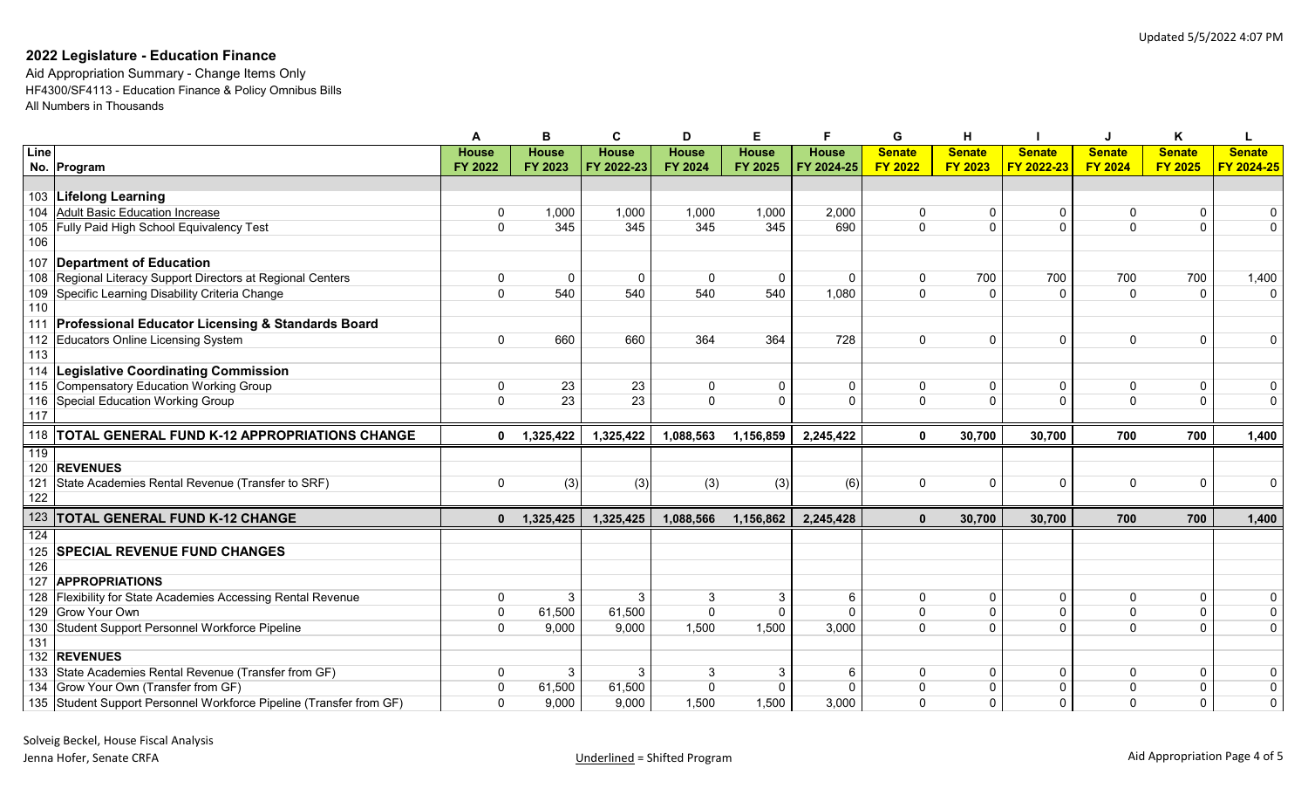|             |                                                                                                             | A                | в               | C               | D                 | Е.                    | F                 | G                        | н                |                         |                      | ĸ                        |                |
|-------------|-------------------------------------------------------------------------------------------------------------|------------------|-----------------|-----------------|-------------------|-----------------------|-------------------|--------------------------|------------------|-------------------------|----------------------|--------------------------|----------------|
| <b>Line</b> |                                                                                                             | <b>House</b>     | <b>House</b>    | <b>House</b>    | <b>House</b>      | <b>House</b>          | <b>House</b>      | <b>Senate</b>            | <b>Senate</b>    | <b>Senate</b>           | <b>Senate</b>        | <b>Senate</b>            | <b>Senate</b>  |
|             | No. Program                                                                                                 | <b>FY 2022</b>   | FY 2023         | FY 2022-23      | FY 2024           | FY 2025               | FY 2024-25        | <b>FY 2022</b>           | <b>FY 2023</b>   | FY 2022-23              | <b>FY 2024</b>       | <b>FY 2025</b>           | FY 2024-25     |
|             |                                                                                                             |                  |                 |                 |                   |                       |                   |                          |                  |                         |                      |                          |                |
|             | 103 Lifelong Learning                                                                                       |                  |                 |                 |                   |                       |                   |                          |                  |                         |                      |                          |                |
|             | 104 Adult Basic Education Increase                                                                          | 0                | 1,000           | 1,000           | 1,000             | 1,000                 | 2,000             | 0                        | 0                | 0                       | $\Omega$             | $\mathbf 0$              | $\mathbf 0$    |
| 105         | Fully Paid High School Equivalency Test                                                                     | 0                | 345             | 345             | 345               | 345                   | 690               | $\mathbf 0$              | $\mathbf{0}$     | $\Omega$                | $\Omega$             | $\overline{0}$           | $\mathbf 0$    |
| 106         |                                                                                                             |                  |                 |                 |                   |                       |                   |                          |                  |                         |                      |                          |                |
|             | 107 Department of Education                                                                                 |                  |                 |                 |                   |                       |                   |                          |                  |                         |                      |                          |                |
|             | 108 Regional Literacy Support Directors at Regional Centers                                                 | 0                | $\mathbf 0$     | $\mathbf{0}$    | $\mathbf{0}$      | 0                     | $\mathbf 0$       | 0                        | 700              | 700                     | 700                  | 700                      | 1,400          |
|             | 109 Specific Learning Disability Criteria Change                                                            | $\Omega$         | 540             | 540             | 540               | 540                   | 1,080             | $\Omega$                 | $\Omega$         | $\Omega$                | $\Omega$             | $\mathbf{0}$             | $\Omega$       |
| 110         |                                                                                                             |                  |                 |                 |                   |                       |                   |                          |                  |                         |                      |                          |                |
|             | 111 Professional Educator Licensing & Standards Board                                                       |                  |                 |                 |                   |                       |                   |                          |                  |                         |                      |                          |                |
|             | 112 Educators Online Licensing System                                                                       | $\mathbf{0}$     | 660             | 660             | 364               | 364                   | 728               | $\Omega$                 | $\mathbf{0}$     | $\Omega$                | $\Omega$             | $\mathbf 0$              | $\mathbf{0}$   |
| 113         |                                                                                                             |                  |                 |                 |                   |                       |                   |                          |                  |                         |                      |                          |                |
|             | 114   Legislative Coordinating Commission                                                                   |                  |                 |                 |                   |                       |                   |                          |                  |                         |                      |                          |                |
|             | 115 Compensatory Education Working Group                                                                    | 0                | 23              | 23              | 0                 | 0                     | $\mathbf 0$       | 0                        | 0                | 0                       | $\Omega$             | $\pmb{0}$                | $\mathbf 0$    |
|             | 116 Special Education Working Group                                                                         | $\overline{0}$   | 23              | 23              | $\Omega$          | $\Omega$              | $\Omega$          | $\Omega$                 | $\Omega$         | $\Omega$                | $\Omega$             | $\overline{0}$           | $\overline{0}$ |
| 117         |                                                                                                             |                  |                 |                 |                   |                       |                   |                          |                  |                         |                      |                          |                |
|             |                                                                                                             |                  |                 |                 |                   |                       |                   |                          |                  |                         |                      |                          |                |
|             | 118 TOTAL GENERAL FUND K-12 APPROPRIATIONS CHANGE                                                           | $\mathbf 0$      | 1,325,422       | 1,325,422       | 1,088,563         | 1,156,859             | 2,245,422         | $\mathbf 0$              | 30,700           | 30,700                  | 700                  | 700                      | 1,400          |
| 119         |                                                                                                             |                  |                 |                 |                   |                       |                   |                          |                  |                         |                      |                          |                |
|             | 120 REVENUES                                                                                                |                  |                 |                 |                   |                       |                   |                          |                  |                         |                      |                          |                |
| 121         | State Academies Rental Revenue (Transfer to SRF)                                                            | 0                | (3)             | (3)             | (3)               | (3)                   | (6)               | $\mathbf{0}$             | 0                | $\Omega$                | $\Omega$             | $\mathbf 0$              | $\mathbf 0$    |
| 122         |                                                                                                             |                  |                 |                 |                   |                       |                   |                          |                  |                         |                      |                          |                |
|             | 123 TOTAL GENERAL FUND K-12 CHANGE                                                                          | $\mathbf{0}$     | 1,325,425       | 1,325,425       | 1,088,566         | 1,156,862             | 2,245,428         | $\mathbf{0}$             | 30,700           | 30,700                  | 700                  | 700                      | 1,400          |
| 124         |                                                                                                             |                  |                 |                 |                   |                       |                   |                          |                  |                         |                      |                          |                |
| 125         | <b>ISPECIAL REVENUE FUND CHANGES</b>                                                                        |                  |                 |                 |                   |                       |                   |                          |                  |                         |                      |                          |                |
| 126         |                                                                                                             |                  |                 |                 |                   |                       |                   |                          |                  |                         |                      |                          |                |
| 127         | <b>APPROPRIATIONS</b>                                                                                       |                  |                 |                 |                   |                       |                   |                          |                  |                         |                      |                          |                |
|             | 128 Flexibility for State Academies Accessing Rental Revenue                                                | 0                | 3               | 3               | 3                 | 3                     | -6                | 0                        | 0                | 0                       | $\Omega$             | 0                        | 0              |
|             | 129 Grow Your Own                                                                                           | 0                | 61,500          | 61,500          | $\mathbf 0$       | $\Omega$              | $\Omega$          | $\overline{0}$           | 0                | $\Omega$                | $\Omega$             | $\overline{0}$           | $\overline{0}$ |
| 130         | Student Support Personnel Workforce Pipeline                                                                | 0                | 9,000           | 9,000           | 1,500             | 1,500                 | 3,000             | $\mathbf 0$              | $\mathbf{0}$     | $\Omega$                | $\Omega$             | $\mathbf 0$              | $\mathbf 0$    |
| 131         |                                                                                                             |                  |                 |                 |                   |                       |                   |                          |                  |                         |                      |                          |                |
|             | 132 REVENUES                                                                                                |                  |                 |                 |                   |                       |                   |                          |                  |                         |                      |                          |                |
|             | 133 State Academies Rental Revenue (Transfer from GF)                                                       | 0                | 3               | 3               | 3                 | 3                     | 6                 | 0                        | $\mathbf 0$      | $\Omega$                | $\Omega$             | $\mathbf 0$              | 0              |
|             | 134 Grow Your Own (Transfer from GF)<br>135 Student Support Personnel Workforce Pipeline (Transfer from GF) | 0<br>$\mathbf 0$ | 61,500<br>9,000 | 61,500<br>9,000 | $\Omega$<br>1,500 | $\mathbf{0}$<br>1,500 | $\Omega$<br>3,000 | $\Omega$<br>$\mathbf{0}$ | 0<br>$\mathbf 0$ | $\mathbf 0$<br>$\Omega$ | $\Omega$<br>$\Omega$ | $\pmb{0}$<br>$\mathbf 0$ | 0<br>0         |